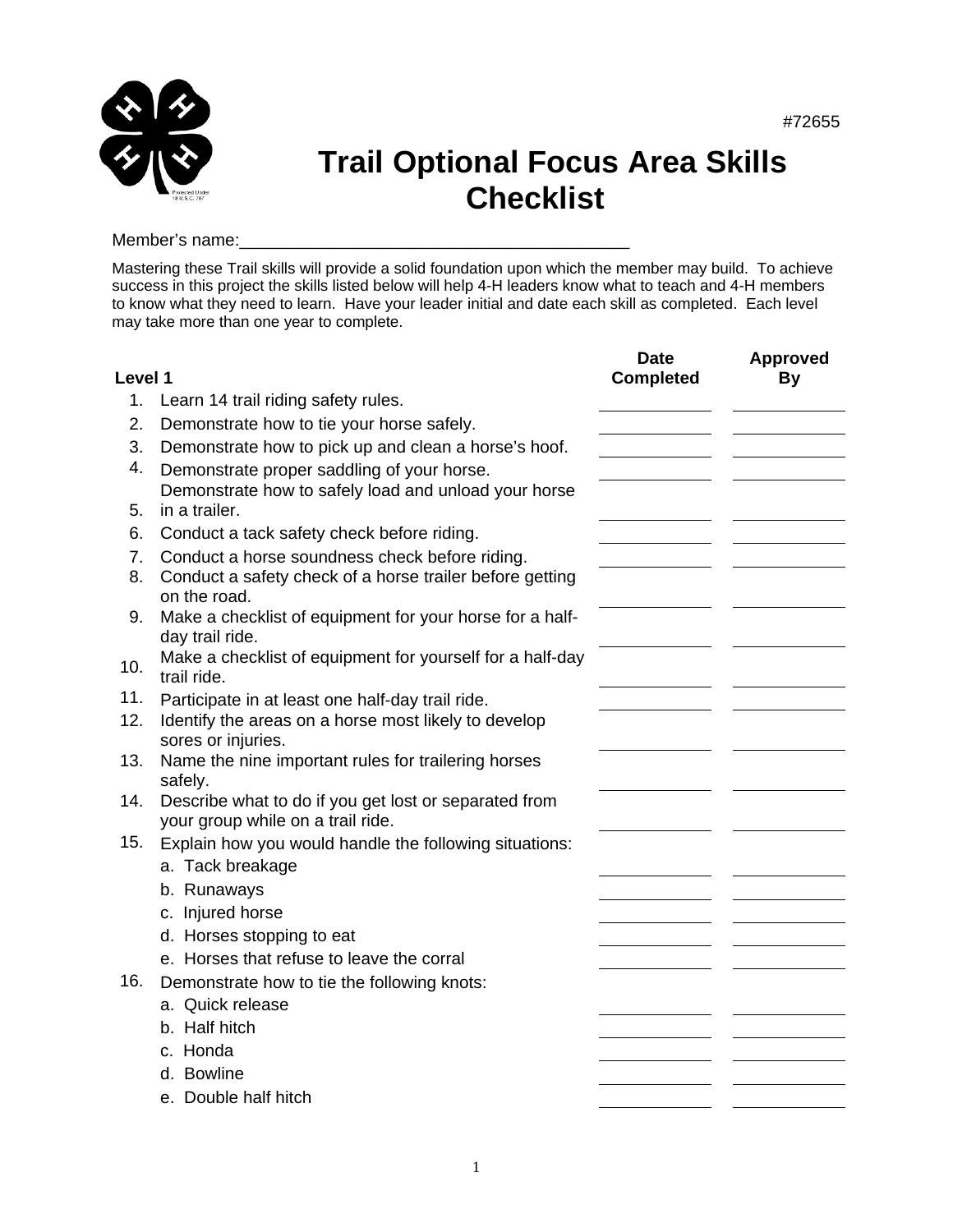

## **Trail Optional Focus Area Skills Checklist**

#72655

Member's name:

Mastering these Trail skills will provide a solid foundation upon which the member may build. To achieve success in this project the skills listed below will help 4-H leaders know what to teach and 4-H members to know what they need to learn. Have your leader initial and date each skill as completed. Each level may take more than one year to complete.

| Level 1  |                                                                                                                            | <b>Date</b><br><b>Completed</b> | <b>Approved</b><br>By |
|----------|----------------------------------------------------------------------------------------------------------------------------|---------------------------------|-----------------------|
| 1.       | Learn 14 trail riding safety rules.                                                                                        |                                 |                       |
| 2.       | Demonstrate how to tie your horse safely.                                                                                  |                                 |                       |
| 3.       | Demonstrate how to pick up and clean a horse's hoof.                                                                       |                                 |                       |
| 4.       | Demonstrate proper saddling of your horse.                                                                                 |                                 |                       |
| 5.       | Demonstrate how to safely load and unload your horse<br>in a trailer.                                                      |                                 |                       |
| 6.       | Conduct a tack safety check before riding.                                                                                 |                                 |                       |
| 7.<br>8. | Conduct a horse soundness check before riding.<br>Conduct a safety check of a horse trailer before getting<br>on the road. |                                 |                       |
| 9.       | Make a checklist of equipment for your horse for a half-<br>day trail ride.                                                |                                 |                       |
| 10.      | Make a checklist of equipment for yourself for a half-day<br>trail ride.                                                   |                                 |                       |
| 11.      | Participate in at least one half-day trail ride.                                                                           |                                 |                       |
| 12.      | Identify the areas on a horse most likely to develop<br>sores or injuries.                                                 |                                 |                       |
| 13.      | Name the nine important rules for trailering horses<br>safely.                                                             |                                 |                       |
| 14.      | Describe what to do if you get lost or separated from<br>your group while on a trail ride.                                 |                                 |                       |
| 15.      | Explain how you would handle the following situations:                                                                     |                                 |                       |
|          | a. Tack breakage                                                                                                           |                                 |                       |
|          | b. Runaways                                                                                                                |                                 |                       |
|          | c. Injured horse                                                                                                           |                                 |                       |
|          | d. Horses stopping to eat                                                                                                  |                                 |                       |
|          | e. Horses that refuse to leave the corral                                                                                  |                                 |                       |
| 16.      | Demonstrate how to tie the following knots:                                                                                |                                 |                       |
|          | a. Quick release                                                                                                           |                                 |                       |
|          | b. Half hitch                                                                                                              |                                 |                       |
|          | c. Honda                                                                                                                   |                                 |                       |
|          | d. Bowline                                                                                                                 |                                 |                       |
|          | e. Double half hitch                                                                                                       |                                 |                       |
|          |                                                                                                                            |                                 |                       |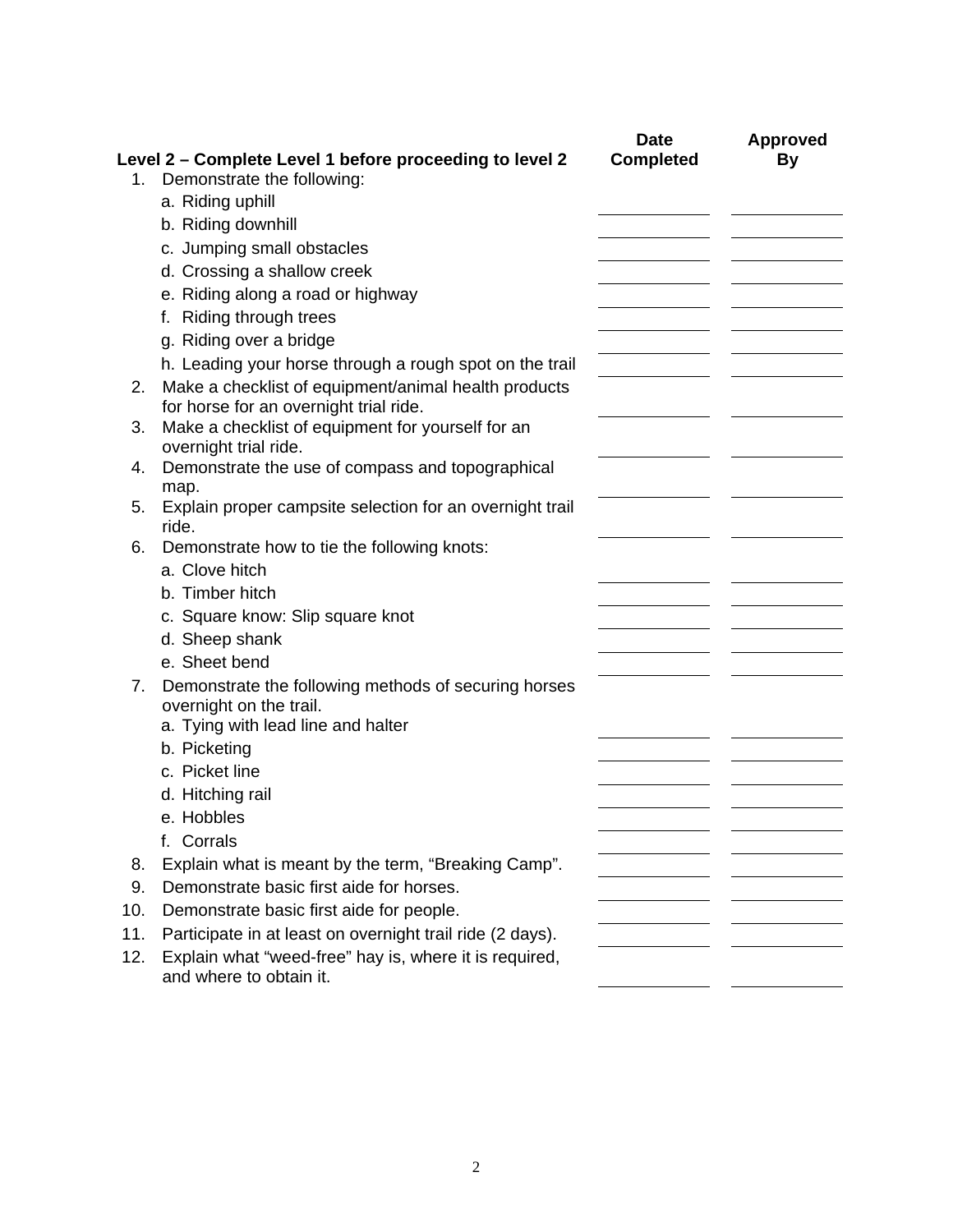|     |                                                                                       | <b>Date</b>      | <b>Approved</b> |
|-----|---------------------------------------------------------------------------------------|------------------|-----------------|
| 1.  | Level 2 - Complete Level 1 before proceeding to level 2<br>Demonstrate the following: | <b>Completed</b> | By              |
|     | a. Riding uphill                                                                      |                  |                 |
|     | b. Riding downhill                                                                    |                  |                 |
|     | c. Jumping small obstacles                                                            |                  |                 |
|     | d. Crossing a shallow creek                                                           |                  |                 |
|     | e. Riding along a road or highway                                                     |                  |                 |
|     | f. Riding through trees                                                               |                  |                 |
|     | g. Riding over a bridge                                                               |                  |                 |
|     | h. Leading your horse through a rough spot on the trail                               |                  |                 |
| 2.  | Make a checklist of equipment/animal health products                                  |                  |                 |
|     | for horse for an overnight trial ride.                                                |                  |                 |
| 3.  | Make a checklist of equipment for yourself for an<br>overnight trial ride.            |                  |                 |
| 4.  | Demonstrate the use of compass and topographical                                      |                  |                 |
|     | map.                                                                                  |                  |                 |
| 5.  | Explain proper campsite selection for an overnight trail                              |                  |                 |
| 6.  | ride.                                                                                 |                  |                 |
|     | Demonstrate how to tie the following knots:<br>a. Clove hitch                         |                  |                 |
|     | b. Timber hitch                                                                       |                  |                 |
|     |                                                                                       |                  |                 |
|     | c. Square know: Slip square knot<br>d. Sheep shank                                    |                  |                 |
|     | e. Sheet bend                                                                         |                  |                 |
|     |                                                                                       |                  |                 |
| 7.  | Demonstrate the following methods of securing horses<br>overnight on the trail.       |                  |                 |
|     | a. Tying with lead line and halter                                                    |                  |                 |
|     | b. Picketing                                                                          |                  |                 |
|     | c. Picket line                                                                        |                  |                 |
|     | d. Hitching rail                                                                      |                  |                 |
|     | e. Hobbles                                                                            |                  |                 |
|     | f. Corrals                                                                            |                  |                 |
| 8.  | Explain what is meant by the term, "Breaking Camp".                                   |                  |                 |
| 9.  | Demonstrate basic first aide for horses.                                              |                  |                 |
| 10. | Demonstrate basic first aide for people.                                              |                  |                 |
| 11. | Participate in at least on overnight trail ride (2 days).                             |                  |                 |
| 12. | Explain what "weed-free" hay is, where it is required,                                |                  |                 |
|     | and where to obtain it.                                                               |                  |                 |